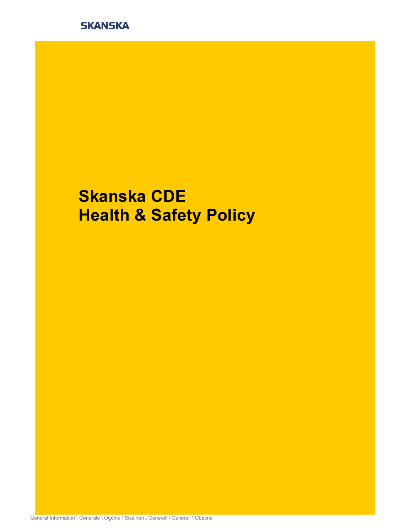

# Skanska CDE **Health & Safety Policy**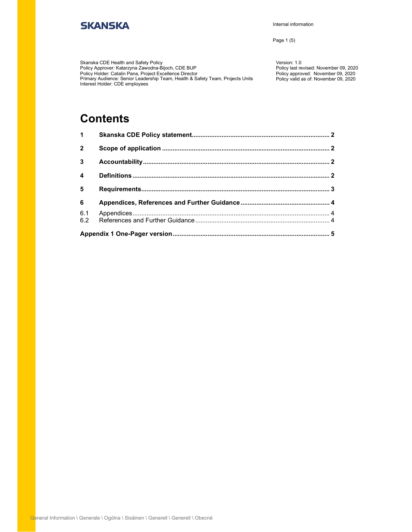Internal information

Page 1 (5)

Skanska CDE Health and Safety Policy Policy Approver: Katarzyna Zawodna-Bijoch, CDE BUP Policy Holder: Catalin Pana, Project Excellence Director Primary Audience: Senior Leadership Team, Health & Safety Team, Projects Units Policy valid as of: November 09, 2020 Interest Holder: CDE employees

Version: 1.0 Policy last revised: November 09, 2020 Policy approved: November 09, 2020

### **Contents**

| $\mathbf 1$             |  |  |  |
|-------------------------|--|--|--|
| $\overline{2}$          |  |  |  |
| 3                       |  |  |  |
| $\overline{\mathbf{4}}$ |  |  |  |
| 5                       |  |  |  |
| 6                       |  |  |  |
| 6.1<br>6.2              |  |  |  |
|                         |  |  |  |
|                         |  |  |  |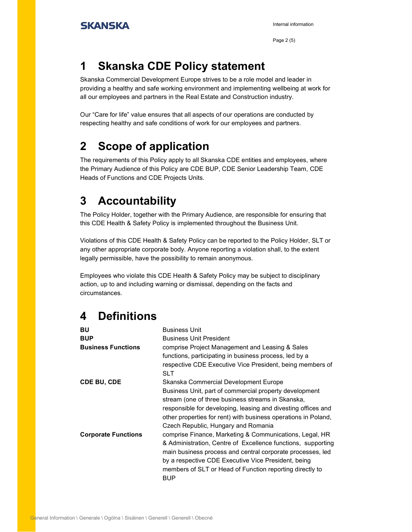Page 2 (5)

### 1 Skanska CDE Policy statement

Skanska Commercial Development Europe strives to be a role model and leader in providing a healthy and safe working environment and implementing wellbeing at work for all our employees and partners in the Real Estate and Construction industry.

Our "Care for life" value ensures that all aspects of our operations are conducted by respecting healthy and safe conditions of work for our employees and partners.

## 2 Scope of application

The requirements of this Policy apply to all Skanska CDE entities and employees, where the Primary Audience of this Policy are CDE BUP, CDE Senior Leadership Team, CDE Heads of Functions and CDE Projects Units.

### 3 Accountability

The Policy Holder, together with the Primary Audience, are responsible for ensuring that this CDE Health & Safety Policy is implemented throughout the Business Unit.

Violations of this CDE Health & Safety Policy can be reported to the Policy Holder, SLT or any other appropriate corporate body. Anyone reporting a violation shall, to the extent legally permissible, have the possibility to remain anonymous.

Employees who violate this CDE Health & Safety Policy may be subject to disciplinary action, up to and including warning or dismissal, depending on the facts and circumstances.

### 4 Definitions

| BU                         | <b>Business Unit</b>                                                    |
|----------------------------|-------------------------------------------------------------------------|
| <b>BUP</b>                 | <b>Business Unit President</b>                                          |
| <b>Business Functions</b>  | comprise Project Management and Leasing & Sales                         |
|                            | functions, participating in business process, led by a                  |
|                            | respective CDE Executive Vice President, being members of<br><b>SLT</b> |
| <b>CDE BU, CDE</b>         | Skanska Commercial Development Europe                                   |
|                            | Business Unit, part of commercial property development                  |
|                            | stream (one of three business streams in Skanska,                       |
|                            | responsible for developing, leasing and divesting offices and           |
|                            | other properties for rent) with business operations in Poland,          |
|                            | Czech Republic, Hungary and Romania                                     |
| <b>Corporate Functions</b> | comprise Finance, Marketing & Communications, Legal, HR                 |
|                            | & Administration, Centre of Excellence functions, supporting            |
|                            | main business process and central corporate processes, led              |
|                            | by a respective CDE Executive Vice President, being                     |
|                            | members of SLT or Head of Function reporting directly to<br><b>BUP</b>  |
|                            |                                                                         |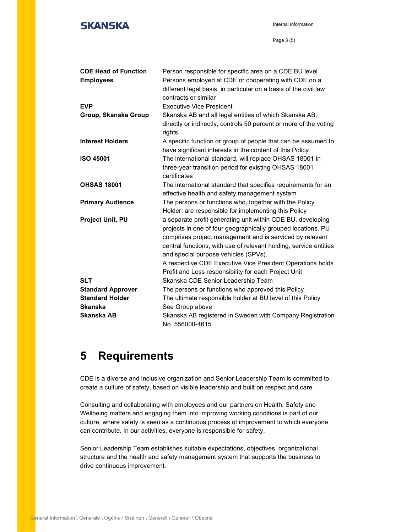Internal information

| <b>CDE Head of Function</b> | Person responsible for specific area on a CDE BU level            |
|-----------------------------|-------------------------------------------------------------------|
| <b>Employees</b>            | Persons employed at CDE or cooperating with CDE on a              |
|                             | different legal basis, in particular on a basis of the civil law  |
|                             | contracts or similar                                              |
| <b>EVP</b>                  | <b>Executive Vice President</b>                                   |
| Group, Skanska Group        | Skanska AB and all legal entities of which Skanska AB,            |
|                             | directly or indirectly, controls 50 percent or more of the voting |
|                             | rights                                                            |
| <b>Interest Holders</b>     | A specific function or group of people that can be assumed to     |
|                             | have significant interests in the content of this Policy          |
| <b>ISO 45001</b>            | The international standard, will replace OHSAS 18001 in           |
|                             | three-year transition period for existing OHSAS 18001             |
|                             | certificates                                                      |
| <b>OHSAS 18001</b>          | The international standard that specifies requirements for an     |
|                             | effective health and safety management system                     |
| <b>Primary Audience</b>     | The persons or functions who, together with the Policy            |
|                             | Holder, are responsible for implementing this Policy              |
| Project Unit, PU            | a separate profit generating unit within CDE BU, developing       |
|                             | projects in one of four geographically grouped locations. PU      |
|                             | comprises project management and is serviced by relevant          |
|                             | central functions, with use of relevant holding, service entities |
|                             | and special purpose vehicles (SPVs).                              |
|                             | A respective CDE Executive Vice President Operations holds        |
|                             | Profit and Loss responsibility for each Project Unit              |
| <b>SLT</b>                  | Skanska CDE Senior Leadership Team                                |
| <b>Standard Approver</b>    | The persons or functions who approved this Policy                 |
| <b>Standard Holder</b>      | The ultimate responsible holder at BU level of this Policy        |
| <b>Skanska</b>              | See Group above                                                   |
| Skanska AB                  | Skanska AB registered in Sweden with Company Registration         |
|                             | No. 556000-4615                                                   |

### 5 Requirements

CDE is a diverse and inclusive organization and Senior Leadership Team is committed to create a culture of safety, based on visible leadership and built on respect and care.

Consulting and collaborating with employees and our partners on Health, Safety and Wellbeing matters and engaging them into improving working conditions is part of our culture, where safety is seen as a continuous process of improvement to which everyone can contribute. In our activities, everyone is responsible for safety.

Senior Leadership Team establishes suitable expectations, objectives, organizational structure and the health and safety management system that supports the business to drive continuous improvement.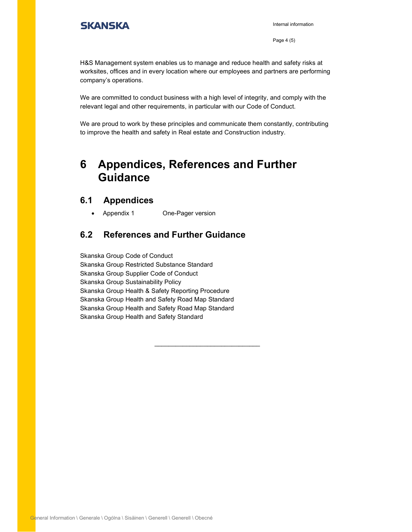Internal information

Page 4 (5)

H&S Management system enables us to manage and reduce health and safety risks at worksites, offices and in every location where our employees and partners are performing company's operations.

We are committed to conduct business with a high level of integrity, and comply with the relevant legal and other requirements, in particular with our Code of Conduct.

We are proud to work by these principles and communicate them constantly, contributing to improve the health and safety in Real estate and Construction industry.

 $\mathcal{L}_\text{max}$  , and the set of the set of the set of the set of the set of the set of the set of the set of the set of the set of the set of the set of the set of the set of the set of the set of the set of the set of the

### 6 Appendices, References and Further Guidance

#### 6.1 Appendices

• Appendix 1 One-Pager version

#### 6.2 References and Further Guidance

Skanska Group Code of Conduct Skanska Group Restricted Substance Standard Skanska Group Supplier Code of Conduct Skanska Group Sustainability Policy Skanska Group Health & Safety Reporting Procedure Skanska Group Health and Safety Road Map Standard Skanska Group Health and Safety Road Map Standard Skanska Group Health and Safety Standard